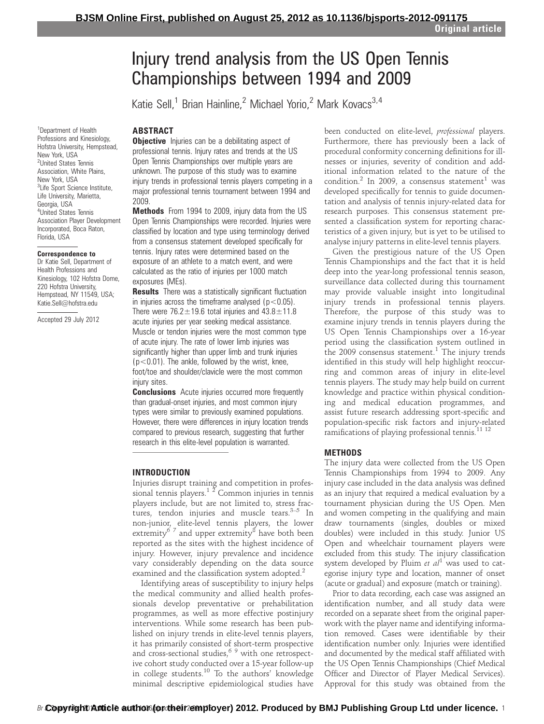## Original article

# Injury trend analysis from the US Open Tennis Championships between 1994 and 2009

Katie Sell,<sup>1</sup> Brian Hainline,<sup>2</sup> Michael Yorio,<sup>2</sup> Mark Kovacs<sup>3,4</sup>

## **ABSTRACT**

1 Department of Health Professions and Kinesiology, Hofstra University, Hempstead, New York, USA 2 United States Tennis Association, White Plains, New York, USA <sup>3</sup>Life Sport Science Institute, Life University, Marietta, Georgia, USA 4 United States Tennis Association Player Development Incorporated, Boca Raton, Florida, USA

#### Correspondence to

Dr Katie Sell, Department of Health Professions and Kinesiology, 102 Hofstra Dome, 220 Hofstra University, Hempstead, NY 11549, USA; Katie.Sell@hofstra.edu

Accepted 29 July 2012

**Objective** Injuries can be a debilitating aspect of professional tennis. Injury rates and trends at the US Open Tennis Championships over multiple years are unknown. The purpose of this study was to examine injury trends in professional tennis players competing in a major professional tennis tournament between 1994 and 2009.

Methods From 1994 to 2009, injury data from the US Open Tennis Championships were recorded. Injuries were classified by location and type using terminology derived from a consensus statement developed specifically for tennis. Injury rates were determined based on the exposure of an athlete to a match event, and were calculated as the ratio of injuries per 1000 match exposures (MEs).

**Results** There was a statistically significant fluctuation in injuries across the timeframe analysed ( $p < 0.05$ ). There were  $76.2 \pm 19.6$  total injuries and  $43.8 \pm 11.8$ acute injuries per year seeking medical assistance. Muscle or tendon injuries were the most common type of acute injury. The rate of lower limb injuries was significantly higher than upper limb and trunk injuries  $(p<0.01)$ . The ankle, followed by the wrist, knee, foot/toe and shoulder/clavicle were the most common injury sites.

**Conclusions** Acute injuries occurred more frequently than gradual-onset injuries, and most common injury types were similar to previously examined populations. However, there were differences in injury location trends compared to previous research, suggesting that further research in this elite-level population is warranted.

### INTRODUCTION

Injuries disrupt training and competition in professional tennis players. $1 \n2$  Common injuries in tennis players include, but are not limited to, stress fractures, tendon injuries and muscle tears. $3-5$  In non-junior, elite-level tennis players, the lower extremity $^{67}$  and upper extremity $^{8}$  have both been reported as the sites with the highest incidence of injury. However, injury prevalence and incidence vary considerably depending on the data source examined and the classification system adopted.<sup>2</sup>

Identifying areas of susceptibility to injury helps the medical community and allied health professionals develop preventative or prehabilitation programmes, as well as more effective postinjury interventions. While some research has been published on injury trends in elite-level tennis players, it has primarily consisted of short-term prospective and cross-sectional studies, $69$  with one retrospective cohort study conducted over a 15-year follow-up in college students.10 To the authors' knowledge minimal descriptive epidemiological studies have

been conducted on elite-level, professional players. Furthermore, there has previously been a lack of procedural conformity concerning definitions for illnesses or injuries, severity of condition and additional information related to the nature of the condition.<sup>2</sup> In 2009, a consensus statement<sup>1</sup> was developed specifically for tennis to guide documentation and analysis of tennis injury-related data for research purposes. This consensus statement presented a classification system for reporting characteristics of a given injury, but is yet to be utilised to analyse injury patterns in elite-level tennis players.

Given the prestigious nature of the US Open Tennis Championships and the fact that it is held deep into the year-long professional tennis season, surveillance data collected during this tournament may provide valuable insight into longitudinal injury trends in professional tennis players. Therefore, the purpose of this study was to examine injury trends in tennis players during the US Open Tennis Championships over a 16-year period using the classification system outlined in the 2009 consensus statement.<sup>1</sup> The injury trends identified in this study will help highlight reoccurring and common areas of injury in elite-level tennis players. The study may help build on current knowledge and practice within physical conditioning and medical education programmes, and assist future research addressing sport-specific and population-specific risk factors and injury-related ramifications of playing professional tennis.<sup>11 12</sup>

# **METHODS**

The injury data were collected from the US Open Tennis Championships from 1994 to 2009. Any injury case included in the data analysis was defined as an injury that required a medical evaluation by a tournament physician during the US Open. Men and women competing in the qualifying and main draw tournaments (singles, doubles or mixed doubles) were included in this study. Junior US Open and wheelchair tournament players were excluded from this study. The injury classification system developed by Pluim et  $al<sup>1</sup>$  was used to categorise injury type and location, manner of onset (acute or gradual) and exposure (match or training).

Prior to data recording, each case was assigned an identification number, and all study data were recorded on a separate sheet from the original paperwork with the player name and identifying information removed. Cases were identifiable by their identification number only. Injuries were identified and documented by the medical staff affiliated with the US Open Tennis Championships (Chief Medical Officer and Director of Player Medical Services). Approval for this study was obtained from the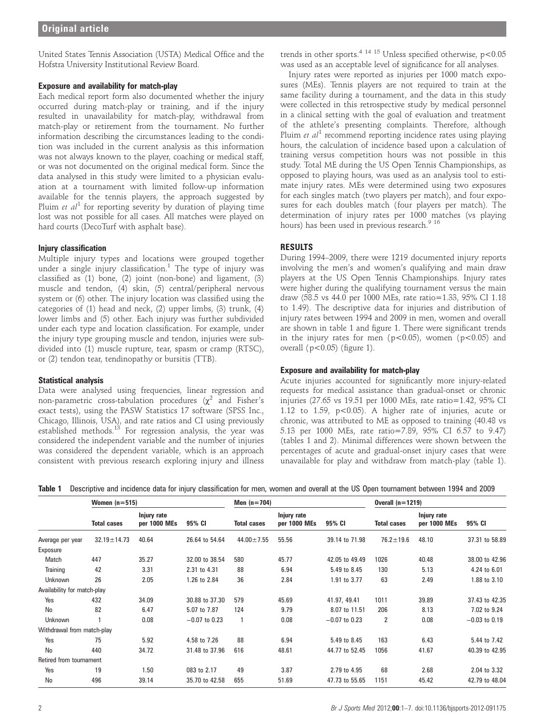United States Tennis Association (USTA) Medical Office and the Hofstra University Institutional Review Board.

## Exposure and availability for match-play

Each medical report form also documented whether the injury occurred during match-play or training, and if the injury resulted in unavailability for match-play, withdrawal from match-play or retirement from the tournament. No further information describing the circumstances leading to the condition was included in the current analysis as this information was not always known to the player, coaching or medical staff, or was not documented on the original medical form. Since the data analysed in this study were limited to a physician evaluation at a tournament with limited follow-up information available for the tennis players, the approach suggested by Pluim *et al*<sup>1</sup> for reporting severity by duration of playing time lost was not possible for all cases. All matches were played on hard courts (DecoTurf with asphalt base).

# Injury classification

Multiple injury types and locations were grouped together under a single injury classification.<sup>1</sup> The type of injury was classified as (1) bone, (2) joint (non-bone) and ligament, (3) muscle and tendon, (4) skin, (5) central/peripheral nervous system or (6) other. The injury location was classified using the categories of (1) head and neck, (2) upper limbs, (3) trunk, (4) lower limbs and (5) other. Each injury was further subdivided under each type and location classification. For example, under the injury type grouping muscle and tendon, injuries were subdivided into (1) muscle rupture, tear, spasm or cramp (RTSC), or (2) tendon tear, tendinopathy or bursitis (TTB).

# Statistical analysis

Data were analysed using frequencies, linear regression and non-parametric cross-tabulation procedures  $(\chi^2$  and Fisher's exact tests), using the PASW Statistics 17 software (SPSS Inc., Chicago, Illinois, USA), and rate ratios and CI using previously established methods.13 For regression analysis, the year was considered the independent variable and the number of injuries was considered the dependent variable, which is an approach consistent with previous research exploring injury and illness

trends in other sports.<sup>4 14 15</sup> Unless specified otherwise,  $p<0.05$ was used as an acceptable level of significance for all analyses.

Injury rates were reported as injuries per 1000 match exposures (MEs). Tennis players are not required to train at the same facility during a tournament, and the data in this study were collected in this retrospective study by medical personnel in a clinical setting with the goal of evaluation and treatment of the athlete's presenting complaints. Therefore, although Pluim *et al*<sup>1</sup> recommend reporting incidence rates using playing hours, the calculation of incidence based upon a calculation of training versus competition hours was not possible in this study. Total ME during the US Open Tennis Championships, as opposed to playing hours, was used as an analysis tool to estimate injury rates. MEs were determined using two exposures for each singles match (two players per match), and four exposures for each doubles match (four players per match). The determination of injury rates per 1000 matches (vs playing hours) has been used in previous research.<sup>9 16</sup>

# RESULTS

During 1994–2009, there were 1219 documented injury reports involving the men's and women's qualifying and main draw players at the US Open Tennis Championships. Injury rates were higher during the qualifying tournament versus the main draw (58.5 vs 44.0 per 1000 MEs, rate ratio=1.33, 95% CI 1.18 to 1.49). The descriptive data for injuries and distribution of injury rates between 1994 and 2009 in men, women and overall are shown in table 1 and figure 1. There were significant trends in the injury rates for men ( $p<0.05$ ), women ( $p<0.05$ ) and overall  $(p<0.05)$  (figure 1).

# Exposure and availability for match-play

Acute injuries accounted for significantly more injury-related requests for medical assistance than gradual-onset or chronic injuries (27.65 vs 19.51 per 1000 MEs, rate ratio=1.42, 95% CI 1.12 to 1.59, p<0.05). A higher rate of injuries, acute or chronic, was attributed to ME as opposed to training (40.48 vs 5.13 per 1000 MEs, rate ratio=7.89, 95% CI 6.57 to 9.47) (tables 1 and 2). Minimal differences were shown between the percentages of acute and gradual-onset injury cases that were unavailable for play and withdraw from match-play (table 1).

|  |  |  |  |  | Table 1 Descriptive and incidence data for injury classification for men, women and overall at the US Open tournament between 1994 and 2009 |  |
|--|--|--|--|--|---------------------------------------------------------------------------------------------------------------------------------------------|--|
|--|--|--|--|--|---------------------------------------------------------------------------------------------------------------------------------------------|--|

|                             | Women $(n=515)$    |                             |                 | Men $(n=704)$      |                             |                 | Overall $(n=1219)$ |                                    |                   |
|-----------------------------|--------------------|-----------------------------|-----------------|--------------------|-----------------------------|-----------------|--------------------|------------------------------------|-------------------|
|                             | <b>Total cases</b> | Injury rate<br>per 1000 MEs | 95% CI          | <b>Total cases</b> | Injury rate<br>per 1000 MEs | 95% CI          | <b>Total cases</b> | <b>Injury rate</b><br>per 1000 MEs | 95% CI            |
| Average per year            | $32.19 \pm 14.73$  | 40.64                       | 26.64 to 54.64  | $44.00 \pm 7.55$   | 55.56                       | 39.14 to 71.98  | $76.2 \pm 19.6$    | 48.10                              | 37.31 to 58.89    |
| Exposure                    |                    |                             |                 |                    |                             |                 |                    |                                    |                   |
| Match                       | 447                | 35.27                       | 32.00 to 38.54  | 580                | 45.77                       | 42.05 to 49.49  | 1026               | 40.48                              | 38,00 to 42.96    |
| Training                    | 42                 | 3.31                        | 2.31 to 4.31    | 88                 | 6.94                        | 5.49 to 8.45    | 130                | 5.13                               | 4.24 to 6.01      |
| Unknown                     | 26                 | 2.05                        | 1.26 to 2.84    | 36                 | 2.84                        | 1.91 to 3.77    | 63                 | 2.49                               | 1.88 to 3.10      |
| Availability for match-play |                    |                             |                 |                    |                             |                 |                    |                                    |                   |
| Yes                         | 432                | 34.09                       | 30.88 to 37.30  | 579                | 45.69                       | 41.97, 49.41    | 1011               | 39.89                              | 37.43 to 42.35    |
| No                          | 82                 | 6.47                        | 5.07 to 7.87    | 124                | 9.79                        | 8.07 to 11.51   | 206                | 8.13                               | 7.02 to 9.24      |
| Unknown                     |                    | 0.08                        | $-0.07$ to 0.23 | 1                  | 0.08                        | $-0.07$ to 0.23 | 2                  | 0.08                               | $-0.03$ to $0.19$ |
| Withdrawal from match-play  |                    |                             |                 |                    |                             |                 |                    |                                    |                   |
| Yes                         | 75                 | 5.92                        | 4.58 to 7.26    | 88                 | 6.94                        | 5.49 to 8.45    | 163                | 6.43                               | 5.44 to 7.42      |
| No                          | 440                | 34.72                       | 31.48 to 37.96  | 616                | 48.61                       | 44.77 to 52.45  | 1056               | 41.67                              | 40.39 to 42.95    |
| Retired from tournament     |                    |                             |                 |                    |                             |                 |                    |                                    |                   |
| Yes                         | 19                 | 1.50                        | 083 to 2.17     | 49                 | 3.87                        | 2.79 to 4.95    | 68                 | 2.68                               | 2.04 to 3.32      |
| No                          | 496                | 39.14                       | 35.70 to 42.58  | 655                | 51.69                       | 47.73 to 55.65  | 1151               | 45.42                              | 42.79 to 48.04    |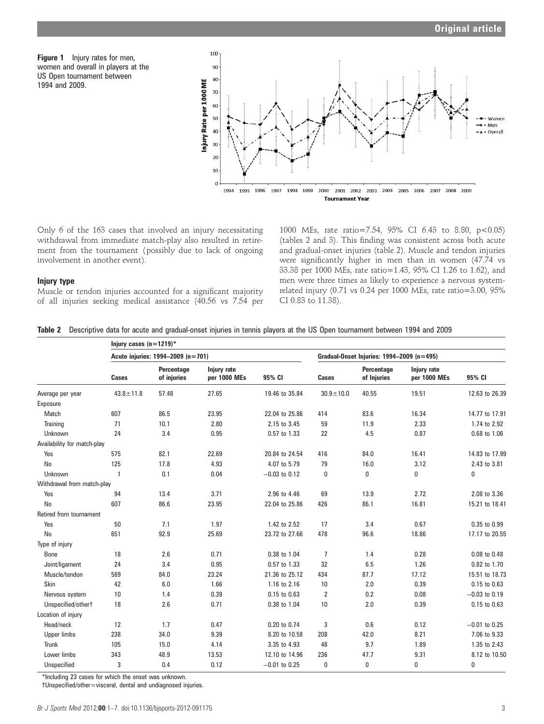



Only 6 of the 163 cases that involved an injury necessitating withdrawal from immediate match-play also resulted in retirement from the tournament (possibly due to lack of ongoing involvement in another event).

# 1000 MEs, rate ratio=7.54, 95% CI 6.43 to 8.80, p<0.05) (tables 2 and 3). This finding was consistent across both acute and gradual-onset injuries (table 2). Muscle and tendon injuries were significantly higher in men than in women (47.74 vs 33.38 per 1000 MEs, rate ratio=1.43, 95% CI 1.26 to 1.62), and men were three times as likely to experience a nervous systemrelated injury (0.71 vs 0.24 per 1000 MEs, rate ratio=3.00, 95% CI 0.83 to 11.38).

# Injury type

Muscle or tendon injuries accounted for a significant majority of all injuries seeking medical assistance (40.56 vs 7.54 per

|  | <b>Table 2</b> Descriptive data for acute and gradual-onset iniuries in tennis players at the US Open tournament between 1994 and 2009 |  |  |
|--|----------------------------------------------------------------------------------------------------------------------------------------|--|--|
|  |                                                                                                                                        |  |  |

|                             | Injury cases $(n=1219)^*$ |                                   |                                    |                 |                                           |                                  |                                    |                 |  |
|-----------------------------|---------------------------|-----------------------------------|------------------------------------|-----------------|-------------------------------------------|----------------------------------|------------------------------------|-----------------|--|
|                             |                           | Acute injuries: 1994-2009 (n=701) |                                    |                 | Gradual-Onset Injuries: 1994-2009 (n=495) |                                  |                                    |                 |  |
|                             | <b>Cases</b>              | Percentage<br>of injuries         | <b>Injury</b> rate<br>per 1000 MEs | 95% CI          | <b>Cases</b>                              | <b>Percentage</b><br>of Injuries | <b>Injury rate</b><br>per 1000 MEs | 95% CI          |  |
| Average per year            | $43.8 \pm 11.8$           | 57.48                             | 27.65                              | 19.46 to 35.84  | $30.9 \pm 10.0$                           | 40.55                            | 19.51                              | 12.63 to 26.39  |  |
| Exposure                    |                           |                                   |                                    |                 |                                           |                                  |                                    |                 |  |
| Match                       | 607                       | 86.5                              | 23.95                              | 22.04 to 25.86  | 414                                       | 83.6                             | 16.34                              | 14.77 to 17.91  |  |
| Training                    | 71                        | 10.1                              | 2.80                               | 2.15 to 3.45    | 59                                        | 11.9                             | 2.33                               | 1.74 to 2.92    |  |
| Unknown                     | 24                        | 3.4                               | 0.95                               | 0.57 to 1.33    | 22                                        | 4.5                              | 0.87                               | 0.68 to 1.06    |  |
| Availability for match-play |                           |                                   |                                    |                 |                                           |                                  |                                    |                 |  |
| Yes                         | 575                       | 82.1                              | 22.69                              | 20.84 to 24.54  | 416                                       | 84.0                             | 16.41                              | 14.83 to 17.99  |  |
| No                          | 125                       | 17.8                              | 4.93                               | 4.07 to 5.79    | 79                                        | 16.0                             | 3.12                               | 2.43 to 3.81    |  |
| Unknown                     | $\mathbf{1}$              | 0.1                               | 0.04                               | $-0.03$ to 0.12 | 0                                         | 0                                | 0                                  | 0               |  |
| Withdrawal from match-play  |                           |                                   |                                    |                 |                                           |                                  |                                    |                 |  |
| Yes                         | 94                        | 13.4                              | 3.71                               | 2.96 to 4.46    | 69                                        | 13.9                             | 2.72                               | 2.08 to 3.36    |  |
| No                          | 607                       | 86.6                              | 23.95                              | 22.04 to 25.86  | 426                                       | 86.1                             | 16.81                              | 15.21 to 18.41  |  |
| Retired from tournament     |                           |                                   |                                    |                 |                                           |                                  |                                    |                 |  |
| Yes                         | 50                        | 7.1                               | 1.97                               | 1.42 to 2.52    | 17                                        | 3.4                              | 0.67                               | 0.35 to 0.99    |  |
| No                          | 651                       | 92.9                              | 25.69                              | 23.72 to 27.66  | 478                                       | 96.6                             | 18.86                              | 17.17 to 20.55  |  |
| Type of injury              |                           |                                   |                                    |                 |                                           |                                  |                                    |                 |  |
| Bone                        | 18                        | 2.6                               | 0.71                               | 0.38 to 1.04    | 7                                         | 1.4                              | 0.28                               | 0.08 to 0.48    |  |
| Joint/ligament              | 24                        | 3.4                               | 0.95                               | 0.57 to 1.33    | 32                                        | 6.5                              | 1.26                               | 0.82 to 1.70    |  |
| Muscle/tendon               | 589                       | 84.0                              | 23.24                              | 21.36 to 25.12  | 434                                       | 87.7                             | 17.12                              | 15.51 to 18.73  |  |
| Skin                        | 42                        | 6.0                               | 1.66                               | 1.16 to 2.16    | 10                                        | 2.0                              | 0.39                               | 0.15 to 0.63    |  |
| Nervous system              | 10                        | 1.4                               | 0.39                               | 0.15 to 0.63    | $\overline{2}$                            | 0.2                              | 0.08                               | $-0.03$ to 0.19 |  |
| Unspecified/othert          | 18                        | 2.6                               | 0.71                               | 0.38 to 1.04    | 10                                        | 2.0                              | 0.39                               | 0.15 to 0.63    |  |
| Location of injury          |                           |                                   |                                    |                 |                                           |                                  |                                    |                 |  |
| Head/neck                   | 12                        | 1.7                               | 0.47                               | 0.20 to 0.74    | 3                                         | 0.6                              | 0.12                               | $-0.01$ to 0.25 |  |
| Upper limbs                 | 238                       | 34.0                              | 9.39                               | 8.20 to 10.58   | 208                                       | 42.0                             | 8.21                               | 7.06 to 9.33    |  |
| <b>Trunk</b>                | 105                       | 15.0                              | 4.14                               | 3.35 to 4.93    | 48                                        | 9.7                              | 1.89                               | 1.35 to 2.43    |  |
| Lower limbs                 | 343                       | 48.9                              | 13.53                              | 12.10 to 14.96  | 236                                       | 47.7                             | 9.31                               | 8.12 to 10.50   |  |
| Unspecified                 | 3                         | 0.4                               | 0.12                               | $-0.01$ to 0.25 | 0                                         | 0                                | 0                                  | 0               |  |

\*Including 23 cases for which the onset was unknown.

†Unspecified/other=visceral, dental and undiagnosed injuries.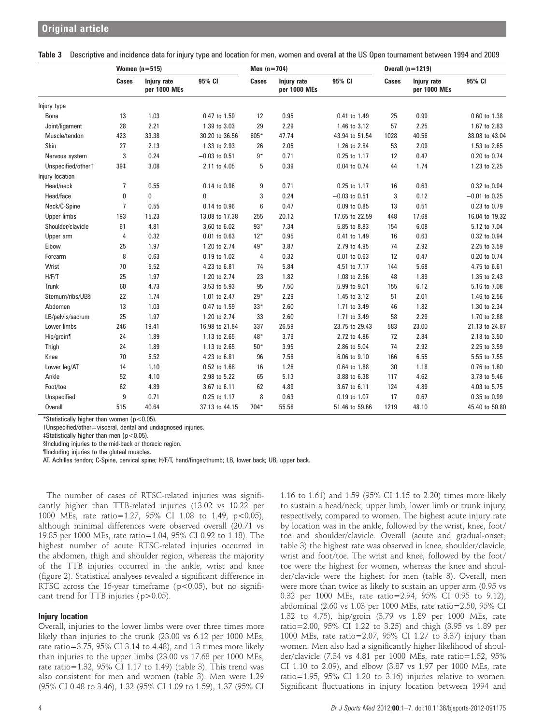|  | Table 3 Descriptive and incidence data for injury type and location for men, women and overall at the US Open tournament between 1994 and 2009 |  |  |  |  |  |  |
|--|------------------------------------------------------------------------------------------------------------------------------------------------|--|--|--|--|--|--|
|--|------------------------------------------------------------------------------------------------------------------------------------------------|--|--|--|--|--|--|

|                    | Women $(n=515)$ |                                    |                 | Men $(n=704)$ |                                    |                 | Overall $(n=1219)$ |                                    |                 |
|--------------------|-----------------|------------------------------------|-----------------|---------------|------------------------------------|-----------------|--------------------|------------------------------------|-----------------|
|                    | Cases           | <b>Injury rate</b><br>per 1000 MEs | 95% CI          | <b>Cases</b>  | <b>Injury rate</b><br>per 1000 MEs | 95% CI          | <b>Cases</b>       | <b>Injury rate</b><br>per 1000 MEs | 95% CI          |
| Injury type        |                 |                                    |                 |               |                                    |                 |                    |                                    |                 |
| Bone               | 13              | 1.03                               | 0.47 to 1.59    | 12            | 0.95                               | 0.41 to 1.49    | 25                 | 0.99                               | 0.60 to 1.38    |
| Joint/ligament     | 28              | 2.21                               | 1.39 to 3.03    | 29            | 2.29                               | 1.46 to 3.12    | 57                 | 2.25                               | 1.67 to 2.83    |
| Muscle/tendon      | 423             | 33.38                              | 30.20 to 36.56  | 605*          | 47.74                              | 43.94 to 51.54  | 1028               | 40.56                              | 38.08 to 43.04  |
| Skin               | 27              | 2.13                               | 1.33 to 2.93    | 26            | 2.05                               | 1.26 to 2.84    | 53                 | 2.09                               | 1.53 to 2.65    |
| Nervous system     | 3               | 0.24                               | $-0.03$ to 0.51 | $9*$          | 0.71                               | 0.25 to 1.17    | 12                 | 0.47                               | 0.20 to 0.74    |
| Unspecified/othert | 39‡             | 3.08                               | 2.11 to 4.05    | 5             | 0.39                               | 0.04 to 0.74    | 44                 | 1.74                               | 1.23 to 2.25    |
| Injury location    |                 |                                    |                 |               |                                    |                 |                    |                                    |                 |
| Head/neck          | $\overline{7}$  | 0.55                               | 0.14 to 0.96    | 9             | 0.71                               | 0.25 to 1.17    | 16                 | 0.63                               | 0.32 to 0.94    |
| Head/face          | 0               | 0                                  | 0               | 3             | 0.24                               | $-0.03$ to 0.51 | 3                  | 0.12                               | $-0.01$ to 0.25 |
| Neck/C-Spine       | $\overline{7}$  | 0.55                               | 0.14 to 0.96    | 6             | 0.47                               | 0.09 to 0.85    | 13                 | 0.51                               | 0.23 to 0.79    |
| <b>Upper limbs</b> | 193             | 15.23                              | 13.08 to 17.38  | 255           | 20.12                              | 17.65 to 22.59  | 448                | 17.68                              | 16.04 to 19.32  |
| Shoulder/clavicle  | 61              | 4.81                               | 3.60 to 6.02    | $93*$         | 7.34                               | 5.85 to 8.83    | 154                | 6.08                               | 5.12 to 7.04    |
| Upper arm          | $\overline{4}$  | 0.32                               | 0.01 to 0.63    | $12*$         | 0.95                               | 0.41 to 1.49    | 16                 | 0.63                               | 0.32 to 0.94    |
| Elbow              | 25              | 1.97                               | 1.20 to 2.74    | 49*           | 3.87                               | 2.79 to 4.95    | 74                 | 2.92                               | 2.25 to 3.59    |
| Forearm            | 8               | 0.63                               | 0.19 to 1.02    | 4             | 0.32                               | 0.01 to 0.63    | 12                 | 0.47                               | 0.20 to 0.74    |
| Wrist              | 70              | 5.52                               | 4.23 to 6.81    | 74            | 5.84                               | 4.51 to 7.17    | 144                | 5.68                               | 4.75 to 6.61    |
| H/F/T              | 25              | 1.97                               | 1.20 to 2.74    | 23            | 1.82                               | 1.08 to 2.56    | 48                 | 1.89                               | 1.35 to 2.43    |
| <b>Trunk</b>       | 60              | 4.73                               | 3.53 to 5.93    | 95            | 7.50                               | 5.99 to 9.01    | 155                | 6.12                               | 5.16 to 7.08    |
| Sternum/ribs/UB§   | 22              | 1.74                               | 1.01 to 2.47    | $29*$         | 2.29                               | 1.45 to 3.12    | 51                 | 2.01                               | 1.46 to 2.56    |
| Abdomen            | 13              | 1.03                               | 0.47 to 1.59    | $33*$         | 2.60                               | 1.71 to 3.49    | 46                 | 1.82                               | 1.30 to 2.34    |
| LB/pelvis/sacrum   | 25              | 1.97                               | 1.20 to 2.74    | 33            | 2.60                               | 1.71 to 3.49    | 58                 | 2.29                               | 1.70 to 2.88    |
| Lower limbs        | 246             | 19.41                              | 16.98 to 21.84  | 337           | 26.59                              | 23.75 to 29.43  | 583                | 23.00                              | 21.13 to 24.87  |
| Hip/groin¶         | 24              | 1.89                               | 1.13 to 2.65    | 48*           | 3.79                               | 2.72 to 4.86    | 72                 | 2.84                               | 2.18 to 3.50    |
| Thigh              | 24              | 1.89                               | 1.13 to 2.65    | $50*$         | 3.95                               | 2.86 to 5.04    | 74                 | 2.92                               | 2.25 to 3.59    |
| Knee               | 70              | 5.52                               | 4.23 to 6.81    | 96            | 7.58                               | 6.06 to 9.10    | 166                | 6.55                               | 5.55 to 7.55    |
| Lower leg/AT       | 14              | 1.10                               | 0.52 to 1.68    | 16            | 1.26                               | 0.64 to 1.88    | 30                 | 1.18                               | 0.76 to 1.60    |
| Ankle              | 52              | 4.10                               | 2.98 to 5.22    | 65            | 5.13                               | 3.88 to 6.38    | 117                | 4.62                               | 3.78 to 5.46    |
| Foot/toe           | 62              | 4.89                               | 3.67 to 6.11    | 62            | 4.89                               | 3.67 to 6.11    | 124                | 4.89                               | 4.03 to 5.75    |
| Unspecified        | 9               | 0.71                               | 0.25 to 1.17    | 8             | 0.63                               | 0.19 to 1.07    | 17                 | 0.67                               | 0.35 to 0.99    |
| <b>Overall</b>     | 515             | 40.64                              | 37.13 to 44.15  | 704*          | 55.56                              | 51.46 to 59.66  | 1219               | 48.10                              | 45.40 to 50.80  |

\*Statistically higher than women ( $p < 0.05$ ).

†Unspecified/other=visceral, dental and undiagnosed injuries.

‡Statistically higher than men (p<0.05).

§Including injuries to the mid-back or thoracic region.

¶Including injuries to the gluteal muscles.

AT, Achilles tendon; C-Spine, cervical spine; H/F/T, hand/finger/thumb; LB, lower back; UB, upper back.

The number of cases of RTSC-related injuries was significantly higher than TTB-related injuries (13.02 vs 10.22 per 1000 MEs, rate ratio=1.27, 95% CI 1.08 to 1.49, p<0.05), although minimal differences were observed overall (20.71 vs 19.85 per 1000 MEs, rate ratio=1.04, 95% CI 0.92 to 1.18). The highest number of acute RTSC-related injuries occurred in the abdomen, thigh and shoulder region, whereas the majority of the TTB injuries occurred in the ankle, wrist and knee (figure 2). Statistical analyses revealed a significant difference in RTSC across the 16-year timeframe ( $p$ <0.05), but no significant trend for TTB injuries (p>0.05).

### Injury location

Overall, injuries to the lower limbs were over three times more likely than injuries to the trunk (23.00 vs 6.12 per 1000 MEs, rate ratio=3.75, 95% CI 3.14 to 4.48), and 1.3 times more likely than injuries to the upper limbs (23.00 vs 17.68 per 1000 MEs, rate ratio=1.32, 95% CI 1.17 to 1.49) (table 3). This trend was also consistent for men and women (table 3). Men were 1.29 (95% CI 0.48 to 3.46), 1.32 (95% CI 1.09 to 1.59), 1.37 (95% CI

1.16 to 1.61) and 1.59 (95% CI 1.15 to 2.20) times more likely to sustain a head/neck, upper limb, lower limb or trunk injury, respectively, compared to women. The highest acute injury rate by location was in the ankle, followed by the wrist, knee, foot/ toe and shoulder/clavicle. Overall (acute and gradual-onset; table 3) the highest rate was observed in knee, shoulder/clavicle, wrist and foot/toe. The wrist and knee, followed by the foot/ toe were the highest for women, whereas the knee and shoulder/clavicle were the highest for men (table 3). Overall, men were more than twice as likely to sustain an upper arm (0.95 vs 0.32 per 1000 MEs, rate ratio=2.94, 95% CI 0.95 to 9.12), abdominal (2.60 vs 1.03 per 1000 MEs, rate ratio=2.50, 95% CI 1.32 to 4.75), hip/groin (3.79 vs 1.89 per 1000 MEs, rate ratio=2.00, 95% CI 1.22 to 3.25) and thigh (3.95 vs 1.89 per 1000 MEs, rate ratio=2.07, 95% CI 1.27 to 3.37) injury than women. Men also had a significantly higher likelihood of shoulder/clavicle (7.34 vs 4.81 per 1000 MEs, rate ratio=1.52, 95% CI 1.10 to 2.09), and elbow (3.87 vs 1.97 per 1000 MEs, rate ratio=1.95, 95% CI 1.20 to 3.16) injuries relative to women. Significant fluctuations in injury location between 1994 and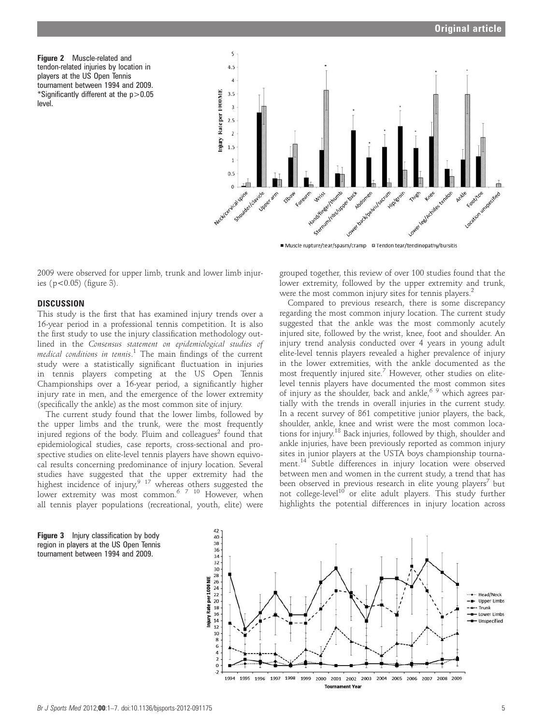Figure 2 Muscle-related and tendon-related injuries by location in players at the US Open Tennis tournament between 1994 and 2009. \*Significantly different at the p>0.05 level.



Muscle rupture/tear/spasm/cramp @ Tendon tear/tendinopathy/bursitis

2009 were observed for upper limb, trunk and lower limb injuries (p<0.05) (figure 3).

# **DISCUSSION**

This study is the first that has examined injury trends over a 16-year period in a professional tennis competition. It is also the first study to use the injury classification methodology outlined in the Consensus statement on epidemiological studies of medical conditions in tennis.<sup>1</sup> The main findings of the current study were a statistically significant fluctuation in injuries in tennis players competing at the US Open Tennis Championships over a 16-year period, a significantly higher injury rate in men, and the emergence of the lower extremity (specifically the ankle) as the most common site of injury.

The current study found that the lower limbs, followed by the upper limbs and the trunk, were the most frequently injured regions of the body. Pluim and colleagues<sup>2</sup> found that epidemiological studies, case reports, cross-sectional and prospective studies on elite-level tennis players have shown equivocal results concerning predominance of injury location. Several studies have suggested that the upper extremity had the highest incidence of injury,  $9^{17}$  whereas others suggested the lower extremity was most common.<sup>6 7 10</sup> However, when all tennis player populations (recreational, youth, elite) were

grouped together, this review of over 100 studies found that the lower extremity, followed by the upper extremity and trunk, were the most common injury sites for tennis players.<sup>2</sup>

Compared to previous research, there is some discrepancy regarding the most common injury location. The current study suggested that the ankle was the most commonly acutely injured site, followed by the wrist, knee, foot and shoulder. An injury trend analysis conducted over 4 years in young adult elite-level tennis players revealed a higher prevalence of injury in the lower extremities, with the ankle documented as the most frequently injured site.<sup>7</sup> However, other studies on elitelevel tennis players have documented the most common sites of injury as the shoulder, back and ankle,  $69$  which agrees partially with the trends in overall injuries in the current study. In a recent survey of 861 competitive junior players, the back, shoulder, ankle, knee and wrist were the most common locations for injury.18 Back injuries, followed by thigh, shoulder and ankle injuries, have been previously reported as common injury sites in junior players at the USTA boys championship tournament.<sup>14</sup> Subtle differences in injury location were observed between men and women in the current study, a trend that has been observed in previous research in elite young players<sup>7</sup> but not college-level $10$  or elite adult players. This study further highlights the potential differences in injury location across

**Figure 3** Injury classification by body region in players at the US Open Tennis tournament between 1994 and 2009.

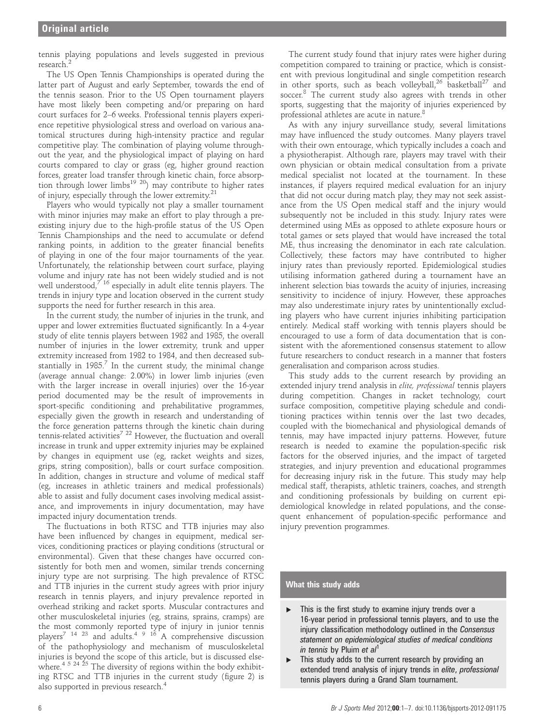tennis playing populations and levels suggested in previous research.

The US Open Tennis Championships is operated during the latter part of August and early September, towards the end of the tennis season. Prior to the US Open tournament players have most likely been competing and/or preparing on hard court surfaces for 2–6 weeks. Professional tennis players experience repetitive physiological stress and overload on various anatomical structures during high-intensity practice and regular competitive play. The combination of playing volume throughout the year, and the physiological impact of playing on hard courts compared to clay or grass (eg, higher ground reaction forces, greater load transfer through kinetic chain, force absorption through lower limbs<sup>19 20</sup>) may contribute to higher rates of injury, especially through the lower extremity. $21$ 

Players who would typically not play a smaller tournament with minor injuries may make an effort to play through a preexisting injury due to the high-profile status of the US Open Tennis Championships and the need to accumulate or defend ranking points, in addition to the greater financial benefits of playing in one of the four major tournaments of the year. Unfortunately, the relationship between court surface, playing volume and injury rate has not been widely studied and is not well understood, $^{7}$  <sup>16</sup> especially in adult elite tennis players. The trends in injury type and location observed in the current study supports the need for further research in this area.

In the current study, the number of injuries in the trunk, and upper and lower extremities fluctuated significantly. In a 4-year study of elite tennis players between 1982 and 1985, the overall number of injuries in the lower extremity, trunk and upper extremity increased from 1982 to 1984, and then decreased substantially in  $1985$ .<sup>7</sup> In the current study, the minimal change (average annual change: 2.00%) in lower limb injuries (even with the larger increase in overall injuries) over the 16-year period documented may be the result of improvements in sport-specific conditioning and prehabilitative programmes, especially given the growth in research and understanding of the force generation patterns through the kinetic chain during tennis-related activities<sup>7 22</sup> However, the fluctuation and overall increase in trunk and upper extremity injuries may be explained by changes in equipment use (eg, racket weights and sizes, grips, string composition), balls or court surface composition. In addition, changes in structure and volume of medical staff (eg, increases in athletic trainers and medical professionals) able to assist and fully document cases involving medical assistance, and improvements in injury documentation, may have impacted injury documentation trends.

The fluctuations in both RTSC and TTB injuries may also have been influenced by changes in equipment, medical services, conditioning practices or playing conditions (structural or environmental). Given that these changes have occurred consistently for both men and women, similar trends concerning injury type are not surprising. The high prevalence of RTSC and TTB injuries in the current study agrees with prior injury research in tennis players, and injury prevalence reported in overhead striking and racket sports. Muscular contractures and other musculoskeletal injuries (eg, strains, sprains, cramps) are the most commonly reported type of injury in junior tennis players<sup>7</sup> <sup>14</sup> <sup>23</sup> and adults.<sup>4</sup> <sup>9</sup> <sup>16</sup> A comprehensive discussion of the pathophysiology and mechanism of musculoskeletal injuries is beyond the scope of this article, but is discussed elsewhere.<sup>4 5 24 25</sup> The diversity of regions within the body exhibiting RTSC and TTB injuries in the current study (figure 2) is also supported in previous research.<sup>4</sup>

As with any injury surveillance study, several limitations may have influenced the study outcomes. Many players travel with their own entourage, which typically includes a coach and a physiotherapist. Although rare, players may travel with their own physician or obtain medical consultation from a private medical specialist not located at the tournament. In these instances, if players required medical evaluation for an injury that did not occur during match play, they may not seek assistance from the US Open medical staff and the injury would subsequently not be included in this study. Injury rates were determined using MEs as opposed to athlete exposure hours or total games or sets played that would have increased the total ME, thus increasing the denominator in each rate calculation. Collectively, these factors may have contributed to higher injury rates than previously reported. Epidemiological studies utilising information gathered during a tournament have an inherent selection bias towards the acuity of injuries, increasing sensitivity to incidence of injury. However, these approaches may also underestimate injury rates by unintentionally excluding players who have current injuries inhibiting participation entirely. Medical staff working with tennis players should be encouraged to use a form of data documentation that is consistent with the aforementioned consensus statement to allow future researchers to conduct research in a manner that fosters generalisation and comparison across studies.

This study adds to the current research by providing an extended injury trend analysis in elite, professional tennis players during competition. Changes in racket technology, court surface composition, competitive playing schedule and conditioning practices within tennis over the last two decades, coupled with the biomechanical and physiological demands of tennis, may have impacted injury patterns. However, future research is needed to examine the population-specific risk factors for the observed injuries, and the impact of targeted strategies, and injury prevention and educational programmes for decreasing injury risk in the future. This study may help medical staff, therapists, athletic trainers, coaches, and strength and conditioning professionals by building on current epidemiological knowledge in related populations, and the consequent enhancement of population-specific performance and injury prevention programmes.

## What this study adds

- This is the first study to examine injury trends over a 16-year period in professional tennis players, and to use the injury classification methodology outlined in the Consensus statement on epidemiological studies of medical conditions *in tennis* by Pluim *et al*<sup>1</sup>
- ▶ This study adds to the current research by providing an extended trend analysis of injury trends in elite, professional tennis players during a Grand Slam tournament.